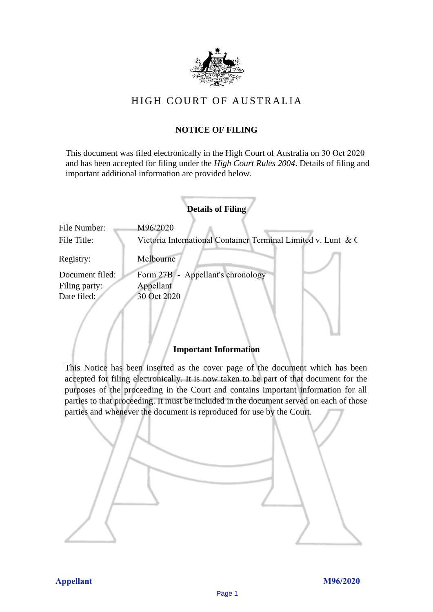

# HIGH COURT OF AU STRALIA HIGH COURT OF AUSTRALIA

## **NOTICE OF FILING** NOTICE OF FILING

This document was filed electronically in the High Court of Australia on 30 Oct 2020 This document was filed electronically in the High Court of Australia 0 and has been accepted for filing under the *High Court Rules 2004*. Details of filing and important additional information are provided below. important additional information are provided below.

|                             | <b>Details of Filing</b>                                                  |
|-----------------------------|---------------------------------------------------------------------------|
| File Number:<br>File Title: | M96/2020<br>Victoria International Container Terminal Limited v. Lunt & C |
| Registry:                   | Melbourne                                                                 |
| Document filed:             | Form 27B - Appellant's chronology                                         |
| Filing party:               | Appellant                                                                 |
| Date filed:                 | 30 Oct 2020                                                               |
|                             |                                                                           |

### **Important Information** Important Information

This Notice has been inserted as the cover page of the document which has been accepted for filing electronically. It is now taken to be part of that document for the purposes of the proceeding in the Court and contains important information for all parties to that proceeding. It must be included in the document served on each of those parties and whenever the document is reproduced for use by the Court. parties and whenever the document is reproduced for use by the Court

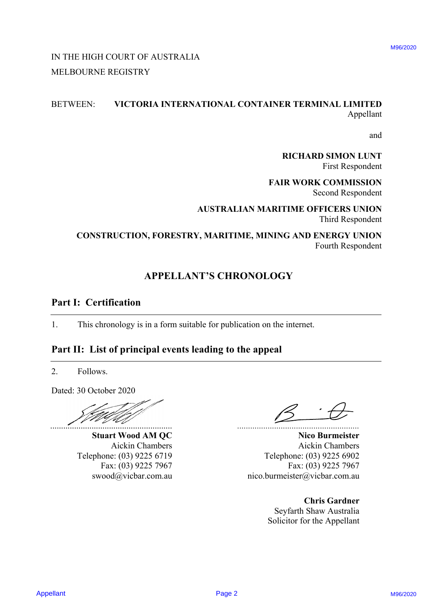# IN THE HIGH COURT OF AUSTRALIA IN THE HIGH COURT OF AUSTRALIA MELBOURNE REGISTRY MELBOURNE REGISTRY

# BETWEEN: **VICTORIA INTERNATIONAL CONTAINER TERMINAL LIMITED** BETWEEN: VICTORIA INTERNATIONAL CONTAINER TERMINAL LIMITED Appellant Appellant IN THE HIGH COURT OF AUSTRALIA<br>
MELBOURNE REGISTRY<br>
APPENDIX INTERNATIONAL CONTAINER TERMINAL LIMITED<br>
APPENDIX MORE REGISTRY<br>
THE REQUESTION FOR SURVEY FROM MORE CONTRIGENED<br>
CONSTRUCTION, FORESTRY, MARITIME, MINING AND

and and

**RICHARD SIMON LUNT** RICHARD SIMON LUNT First Respondent First Respondent

**FAIR WORK COMMISSION** FAIR WORK COMMISSION Second Respondent Second Respondent

**AUSTRALIAN MARITIME OFFICERS UNION** AUSTRALIAN MARITIME OFFICERS UNION Third Respondent Third Respondent

## **CONSTRUCTION, FORESTRY, MARITIME, MINING AND ENERGY UNION** CONSTRUCTION, FORESTRY, MARITIME, MINING AND ENERGY UNION Fourth Respondent Fourth Respondent

# **APPELLANT'S CHRONOLOGY** APPELLANT'S CHRONOLOGY

## **Part I: Certification** Part I: Certification

1. This chronology is in a form suitable for publication on the internet. 1. This chronology is in <sup>a</sup> form suitable for publication on the internet.

# **Part II: List of principal events leading to the appeal** Part II: List of principal events leading to the appeal

2. Follows. 2. Follows.

Dated: 30 October 2020 Dated: 30 October 2020

........................................................

Fax: (03) 9225 7967 swood@vicbar.com.au

*........................................................*

**Stuart Wood AM QC** Nico Burmeister Aickin Chambers Aickin Chambers Aickin Chambers Telephone: (03) 9225 6719 Telephone: (03) 9225 6719 Telephone: (03) 9225 6902 **Nico Burmeister** Aickin Chambers Telephone: (03) 9225 6902 Fax: (03) 9225 7967 Fax: (03) 9225 7967 Fax: (03) 9225 7967 nico.burmeister@vicbar.com.au swood@vicbar.com.au nico.burmeister@vicbar.com.au

**Chris Gardner** Chris Gardner Seyfarth Shaw Australia Seyfarth Shaw Australia Solicitor for the Appellant Solicitor for the Appellant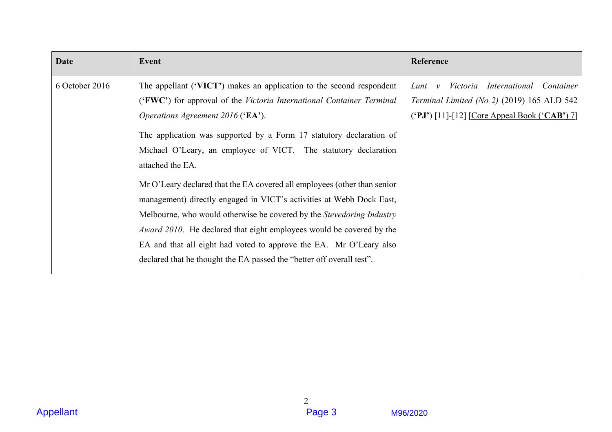| Date           | Event                                                                                                                                                                                                                                                                                             | Reference                                                                                                                                             |
|----------------|---------------------------------------------------------------------------------------------------------------------------------------------------------------------------------------------------------------------------------------------------------------------------------------------------|-------------------------------------------------------------------------------------------------------------------------------------------------------|
| 6 October 2016 | The appellant ('VICT') makes an application to the second respondent<br>('FWC') for approval of the Victoria International Container Terminal<br>Operations Agreement 2016 ('EA').                                                                                                                | Victoria International Container<br>$Lunt \quad v$<br>Terminal Limited (No 2) (2019) 165 ALD 542<br>$(°PJ')$ [11]-[12] [Core Appeal Book $(°CAB')$ 7] |
|                | The application was supported by a Form 17 statutory declaration of<br>Michael O'Leary, an employee of VICT. The statutory declaration<br>attached the EA.                                                                                                                                        |                                                                                                                                                       |
|                | Mr O'Leary declared that the EA covered all employees (other than senior<br>management) directly engaged in VICT's activities at Webb Dock East,<br>Melbourne, who would otherwise be covered by the Stevedoring Industry<br>Award 2010. He declared that eight employees would be covered by the |                                                                                                                                                       |
|                | EA and that all eight had voted to approve the EA. Mr O'Leary also<br>declared that he thought the EA passed the "better off overall test".                                                                                                                                                       |                                                                                                                                                       |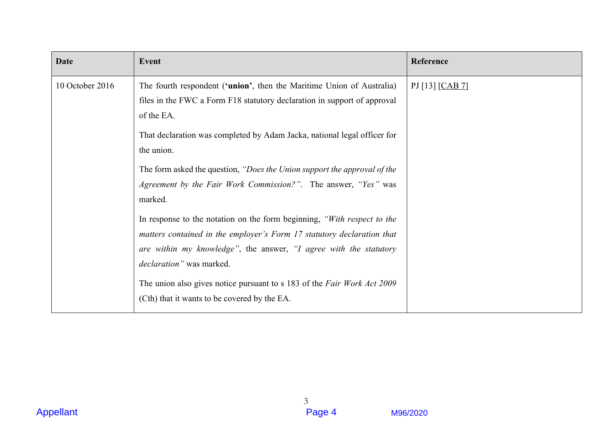| Event<br>Reference<br>Date<br>10 October 2016<br>The fourth respondent ('union', then the Maritime Union of Australia)<br>PJ [13] [CAB 7]<br>files in the FWC a Form F18 statutory declaration in support of approval<br>of the EA.<br>That declaration was completed by Adam Jacka, national legal officer for<br>the union.<br>The form asked the question, "Does the Union support the approval of the<br>Agreement by the Fair Work Commission?". The answer, "Yes" was<br>marked.<br>In response to the notation on the form beginning, "With respect to the<br>matters contained in the employer's Form 17 statutory declaration that<br>are within my knowledge", the answer, "I agree with the statutory<br>declaration" was marked.<br>The union also gives notice pursuant to s 183 of the Fair Work Act 2009<br>(Cth) that it wants to be covered by the EA. |                  |                          |          |
|-------------------------------------------------------------------------------------------------------------------------------------------------------------------------------------------------------------------------------------------------------------------------------------------------------------------------------------------------------------------------------------------------------------------------------------------------------------------------------------------------------------------------------------------------------------------------------------------------------------------------------------------------------------------------------------------------------------------------------------------------------------------------------------------------------------------------------------------------------------------------|------------------|--------------------------|----------|
|                                                                                                                                                                                                                                                                                                                                                                                                                                                                                                                                                                                                                                                                                                                                                                                                                                                                         |                  |                          |          |
|                                                                                                                                                                                                                                                                                                                                                                                                                                                                                                                                                                                                                                                                                                                                                                                                                                                                         |                  |                          |          |
|                                                                                                                                                                                                                                                                                                                                                                                                                                                                                                                                                                                                                                                                                                                                                                                                                                                                         |                  |                          |          |
|                                                                                                                                                                                                                                                                                                                                                                                                                                                                                                                                                                                                                                                                                                                                                                                                                                                                         |                  |                          |          |
|                                                                                                                                                                                                                                                                                                                                                                                                                                                                                                                                                                                                                                                                                                                                                                                                                                                                         |                  |                          |          |
|                                                                                                                                                                                                                                                                                                                                                                                                                                                                                                                                                                                                                                                                                                                                                                                                                                                                         |                  |                          |          |
|                                                                                                                                                                                                                                                                                                                                                                                                                                                                                                                                                                                                                                                                                                                                                                                                                                                                         |                  |                          |          |
|                                                                                                                                                                                                                                                                                                                                                                                                                                                                                                                                                                                                                                                                                                                                                                                                                                                                         |                  |                          |          |
|                                                                                                                                                                                                                                                                                                                                                                                                                                                                                                                                                                                                                                                                                                                                                                                                                                                                         |                  |                          |          |
|                                                                                                                                                                                                                                                                                                                                                                                                                                                                                                                                                                                                                                                                                                                                                                                                                                                                         |                  |                          |          |
|                                                                                                                                                                                                                                                                                                                                                                                                                                                                                                                                                                                                                                                                                                                                                                                                                                                                         | <b>Appellant</b> | $\mathfrak{Z}$<br>Page 4 | M96/2020 |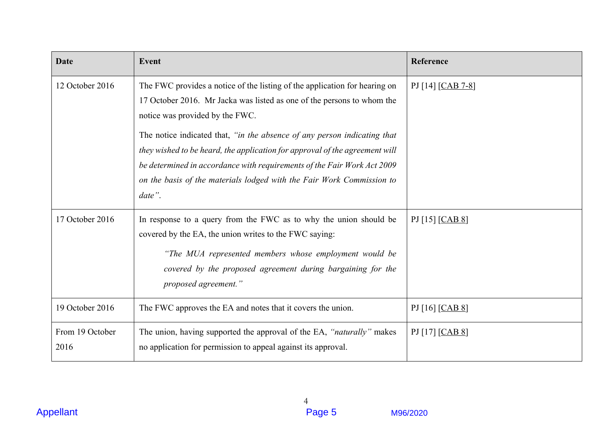| Date                    | Event                                                                                                                                                                                                                                                                                                                 | Reference         |
|-------------------------|-----------------------------------------------------------------------------------------------------------------------------------------------------------------------------------------------------------------------------------------------------------------------------------------------------------------------|-------------------|
| 12 October 2016         | The FWC provides a notice of the listing of the application for hearing on<br>17 October 2016. Mr Jacka was listed as one of the persons to whom the<br>notice was provided by the FWC.                                                                                                                               | PJ [14] [CAB 7-8] |
|                         | The notice indicated that, "in the absence of any person indicating that<br>they wished to be heard, the application for approval of the agreement will<br>be determined in accordance with requirements of the Fair Work Act 2009<br>on the basis of the materials lodged with the Fair Work Commission to<br>date". |                   |
| 17 October 2016         | In response to a query from the FWC as to why the union should be<br>covered by the EA, the union writes to the FWC saying:                                                                                                                                                                                           | PJ [15] [CAB 8]   |
|                         | "The MUA represented members whose employment would be<br>covered by the proposed agreement during bargaining for the<br>proposed agreement."                                                                                                                                                                         |                   |
| 19 October 2016         | The FWC approves the EA and notes that it covers the union.                                                                                                                                                                                                                                                           | PJ [16] [CAB 8]   |
| From 19 October<br>2016 | The union, having supported the approval of the EA, "naturally" makes<br>no application for permission to appeal against its approval.                                                                                                                                                                                | PJ [17] [CAB 8]   |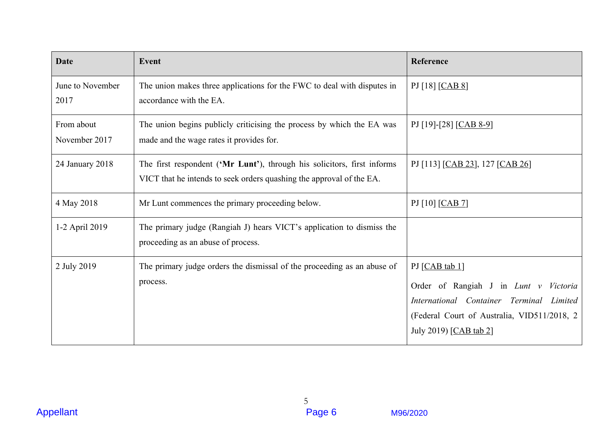| Date                        | <b>Event</b>                                                                                                                                    | Reference                                                                                                                                                                    |
|-----------------------------|-------------------------------------------------------------------------------------------------------------------------------------------------|------------------------------------------------------------------------------------------------------------------------------------------------------------------------------|
| June to November<br>2017    | The union makes three applications for the FWC to deal with disputes in<br>accordance with the EA.                                              | PJ [18] [CAB 8]                                                                                                                                                              |
| From about<br>November 2017 | The union begins publicly criticising the process by which the EA was<br>made and the wage rates it provides for.                               | PJ [19]-[28] [CAB 8-9]                                                                                                                                                       |
| 24 January 2018             | The first respondent ('Mr Lunt'), through his solicitors, first informs<br>VICT that he intends to seek orders quashing the approval of the EA. | PJ [113] [CAB 23], 127 [CAB 26]                                                                                                                                              |
| 4 May 2018                  | Mr Lunt commences the primary proceeding below.                                                                                                 | PI [10] [CAB 7]                                                                                                                                                              |
| 1-2 April 2019              | The primary judge (Rangiah J) hears VICT's application to dismiss the<br>proceeding as an abuse of process.                                     |                                                                                                                                                                              |
| 2 July 2019                 | The primary judge orders the dismissal of the proceeding as an abuse of<br>process.                                                             | PJ [CAB tab 1]<br>Order of Rangiah J in Lunt v Victoria<br>International Container Terminal Limited<br>(Federal Court of Australia, VID511/2018, 2<br>July 2019) [CAB tab 2] |